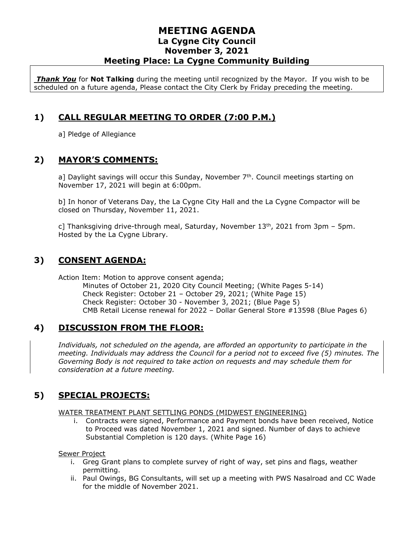## **MEETING AGENDA La Cygne City Council November 3, 2021 Meeting Place: La Cygne Community Building**

*Thank You* for **Not Talking** during the meeting until recognized by the Mayor. If you wish to be scheduled on a future agenda, Please contact the City Clerk by Friday preceding the meeting.

## **1) CALL REGULAR MEETING TO ORDER (7:00 P.M.)**

a] Pledge of Allegiance

## **2) MAYOR'S COMMENTS:**

a] Daylight savings will occur this Sunday, November  $7<sup>th</sup>$ . Council meetings starting on November 17, 2021 will begin at 6:00pm.

b] In honor of Veterans Day, the La Cygne City Hall and the La Cygne Compactor will be closed on Thursday, November 11, 2021.

c] Thanksgiving drive-through meal, Saturday, November  $13<sup>th</sup>$ , 2021 from 3pm – 5pm. Hosted by the La Cygne Library.

## **3) CONSENT AGENDA:**

Action Item: Motion to approve consent agenda; Minutes of October 21, 2020 City Council Meeting; (White Pages 5-14) Check Register: October 21 – October 29, 2021; (White Page 15) Check Register: October 30 - November 3, 2021; (Blue Page 5) CMB Retail License renewal for 2022 – Dollar General Store #13598 (Blue Pages 6)

## **4) DISCUSSION FROM THE FLOOR:**

*Individuals, not scheduled on the agenda, are afforded an opportunity to participate in the meeting. Individuals may address the Council for a period not to exceed five (5) minutes. The Governing Body is not required to take action on requests and may schedule them for consideration at a future meeting.* 

# **5) SPECIAL PROJECTS:**

#### WATER TREATMENT PLANT SETTLING PONDS (MIDWEST ENGINEERING)

i. Contracts were signed, Performance and Payment bonds have been received, Notice to Proceed was dated November 1, 2021 and signed. Number of days to achieve Substantial Completion is 120 days. (White Page 16)

#### Sewer Project

- i. Greg Grant plans to complete survey of right of way, set pins and flags, weather permitting.
- ii. Paul Owings, BG Consultants, will set up a meeting with PWS Nasalroad and CC Wade for the middle of November 2021.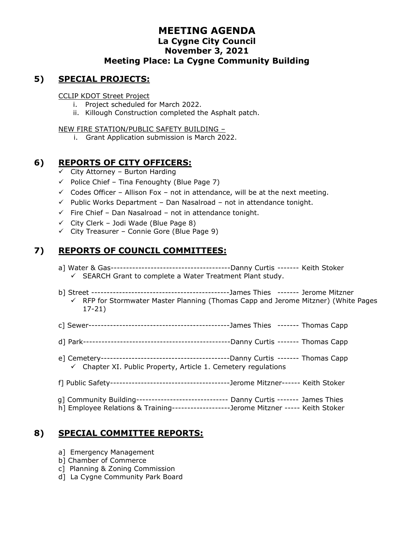## **MEETING AGENDA La Cygne City Council November 3, 2021 Meeting Place: La Cygne Community Building**

## **5) SPECIAL PROJECTS:**

CCLIP KDOT Street Project

- i. Project scheduled for March 2022.
- ii. Killough Construction completed the Asphalt patch.

#### NEW FIRE STATION/PUBLIC SAFETY BUILDING –

i. Grant Application submission is March 2022.

## **6) REPORTS OF CITY OFFICERS:**

- $\checkmark$  City Attorney Burton Harding
- $\checkmark$  Police Chief Tina Fenoughty (Blue Page 7)
- $\checkmark$  Codes Officer Allison Fox not in attendance, will be at the next meeting.
- $\checkmark$  Public Works Department Dan Nasalroad not in attendance tonight.
- ✓ Fire Chief Dan Nasalroad not in attendance tonight.
- $\checkmark$  City Clerk Jodi Wade (Blue Page 8)
- $\checkmark$  City Treasurer Connie Gore (Blue Page 9)

## **7) REPORTS OF COUNCIL COMMITTEES:**

- a] Water & Gas---------------------------------------Danny Curtis ------- Keith Stoker ✓ SEARCH Grant to complete a Water Treatment Plant study.
- b] Street ---------------------------------------------James Thies ------- Jerome Mitzner
	- $\checkmark$  RFP for Stormwater Master Planning (Thomas Capp and Jerome Mitzner) (White Pages 17-21)
- c] Sewer----------------------------------------------James Thies ------- Thomas Capp
- d] Park------------------------------------------------Danny Curtis ------- Thomas Capp
- e] Cemetery------------------------------------------Danny Curtis ------- Thomas Capp  $\checkmark$  Chapter XI. Public Property, Article 1. Cemetery regulations
- f] Public Safety---------------------------------------Jerome Mitzner------ Keith Stoker
- g] Community Building------------------------------ Danny Curtis ------- James Thies
- h] Employee Relations & Training-------------------Jerome Mitzner ----- Keith Stoker

## **8) SPECIAL COMMITTEE REPORTS:**

- a] Emergency Management
- b] Chamber of Commerce
- c] Planning & Zoning Commission
- d] La Cygne Community Park Board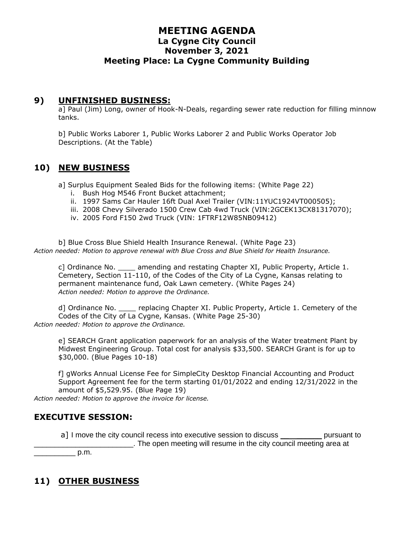## **MEETING AGENDA La Cygne City Council November 3, 2021 Meeting Place: La Cygne Community Building**

#### **9) UNFINISHED BUSINESS:**

a] Paul (Jim) Long, owner of Hook-N-Deals, regarding sewer rate reduction for filling minnow tanks.

b] Public Works Laborer 1, Public Works Laborer 2 and Public Works Operator Job Descriptions. (At the Table)

#### **10) NEW BUSINESS**

a] Surplus Equipment Sealed Bids for the following items: (White Page 22)

- i. Bush Hog M546 Front Bucket attachment;
- ii. 1997 Sams Car Hauler 16ft Dual Axel Trailer (VIN:11YUC1924VT000505);
- iii. 2008 Chevy Silverado 1500 Crew Cab 4wd Truck (VIN:2GCEK13CX81317070);
- iv. 2005 Ford F150 2wd Truck (VIN: 1FTRF12W85NB09412)

b] Blue Cross Blue Shield Health Insurance Renewal. (White Page 23) *Action needed: Motion to approve renewal with Blue Cross and Blue Shield for Health Insurance.*

c] Ordinance No. \_\_\_\_ amending and restating Chapter XI, Public Property, Article 1. Cemetery, Section 11-110, of the Codes of the City of La Cygne, Kansas relating to permanent maintenance fund, Oak Lawn cemetery. (White Pages 24) *Action needed: Motion to approve the Ordinance.*

d] Ordinance No. \_\_\_\_ replacing Chapter XI. Public Property, Article 1. Cemetery of the Codes of the City of La Cygne, Kansas. (White Page 25-30) *Action needed: Motion to approve the Ordinance.*

e] SEARCH Grant application paperwork for an analysis of the Water treatment Plant by Midwest Engineering Group. Total cost for analysis \$33,500. SEARCH Grant is for up to \$30,000. (Blue Pages 10-18)

f] gWorks Annual License Fee for SimpleCity Desktop Financial Accounting and Product Support Agreement fee for the term starting 01/01/2022 and ending 12/31/2022 in the amount of \$5,529.95. (Blue Page 19)

*Action needed: Motion to approve the invoice for license.*

## **EXECUTIVE SESSION:**

a] I move the city council recess into executive session to discuss example pursuant to \_\_\_\_\_\_\_\_\_\_\_\_\_\_\_\_\_\_\_\_\_\_\_\_. The open meeting will resume in the city council meeting area at  $p.m.$ 

# **11) OTHER BUSINESS**